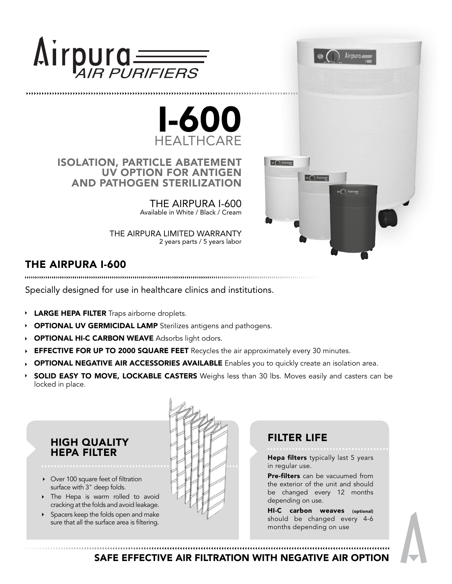



ISOLATION, PARTICLE ABATEMENT UV OPTION FOR ANTIGEN AND PATHOGEN STERILIZATION

> THE AIRPURA I-600 Available in White / Black / Cream

THE AIRPURA LIMITED WARRANTY 2 years parts / 5 years labor

# THE AIRPURA I-600

Specially designed for use in healthcare clinics and institutions.

- **LARGE HEPA FILTER** Traps airborne droplets.
- OPTIONAL UV GERMICIDAL LAMP Sterilizes antigens and pathogens.
- OPTIONAL HI-C CARBON WEAVE Adsorbs light odors.
- **EFFECTIVE FOR UP TO 2000 SQUARE FEET** Recycles the air approximately every 30 minutes.
- OPTIONAL NEGATIVE AIR ACCESSORIES AVAILABLE Enables you to quickly create an isolation area.
- SOLID EASY TO MOVE, LOCKABLE CASTERS Weighs less than 30 lbs. Moves easily and casters can be locked in place.

#### HIGH QUALITY HEPA FILTER

- Over 100 square feet of filtration surface with 3" deep folds.
- The Hepa is warm rolled to avoid cracking at the folds and avoid leakage.
- Spacers keep the folds open and make sure that all the surface area is filtering.



## FILTER LIFE

 $\circ$  ( )  $h$ pm

 $\bigcap$  Lipper

Hepa filters typically last 5 years in regular use.

**Airpura** 

 $\Theta$  ( ) lipstom

Pre-filters can be vacuumed from the exterior of the unit and should be changed every 12 months depending on use.

HI-C carbon weaves (optional) should be changed every 4-6 months depending on use

SAFE EFFECTIVE AIR FILTRATION WITH NEGATIVE AIR OPTION